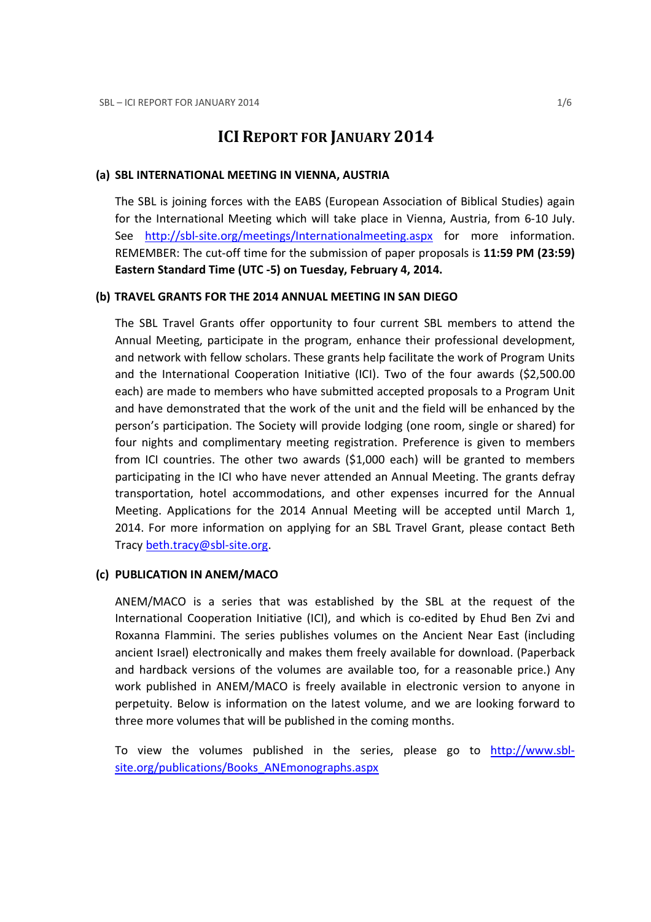# ICI REPORT FOR JANUARY 2014

#### (a) SBL INTERNATIONAL MEETING IN VIENNA, AUSTRIA

The SBL is joining forces with the EABS (European Association of Biblical Studies) again for the International Meeting which will take place in Vienna, Austria, from 6-10 July. See http://sbl-site.org/meetings/Internationalmeeting.aspx for more information. REMEMBER: The cut-off time for the submission of paper proposals is 11:59 PM (23:59) Eastern Standard Time (UTC -5) on Tuesday, February 4, 2014.

#### (b) TRAVEL GRANTS FOR THE 2014 ANNUAL MEETING IN SAN DIEGO

The SBL Travel Grants offer opportunity to four current SBL members to attend the Annual Meeting, participate in the program, enhance their professional development, and network with fellow scholars. These grants help facilitate the work of Program Units and the International Cooperation Initiative (ICI). Two of the four awards (\$2,500.00 each) are made to members who have submitted accepted proposals to a Program Unit and have demonstrated that the work of the unit and the field will be enhanced by the person's participation. The Society will provide lodging (one room, single or shared) for four nights and complimentary meeting registration. Preference is given to members from ICI countries. The other two awards (\$1,000 each) will be granted to members participating in the ICI who have never attended an Annual Meeting. The grants defray transportation, hotel accommodations, and other expenses incurred for the Annual Meeting. Applications for the 2014 Annual Meeting will be accepted until March 1, 2014. For more information on applying for an SBL Travel Grant, please contact Beth Tracy beth.tracy@sbl-site.org.

### (c) PUBLICATION IN ANEM/MACO

ANEM/MACO is a series that was established by the SBL at the request of the International Cooperation Initiative (ICI), and which is co-edited by Ehud Ben Zvi and Roxanna Flammini. The series publishes volumes on the Ancient Near East (including ancient Israel) electronically and makes them freely available for download. (Paperback and hardback versions of the volumes are available too, for a reasonable price.) Any work published in ANEM/MACO is freely available in electronic version to anyone in perpetuity. Below is information on the latest volume, and we are looking forward to three more volumes that will be published in the coming months.

To view the volumes published in the series, please go to http://www.sblsite.org/publications/Books\_ANEmonographs.aspx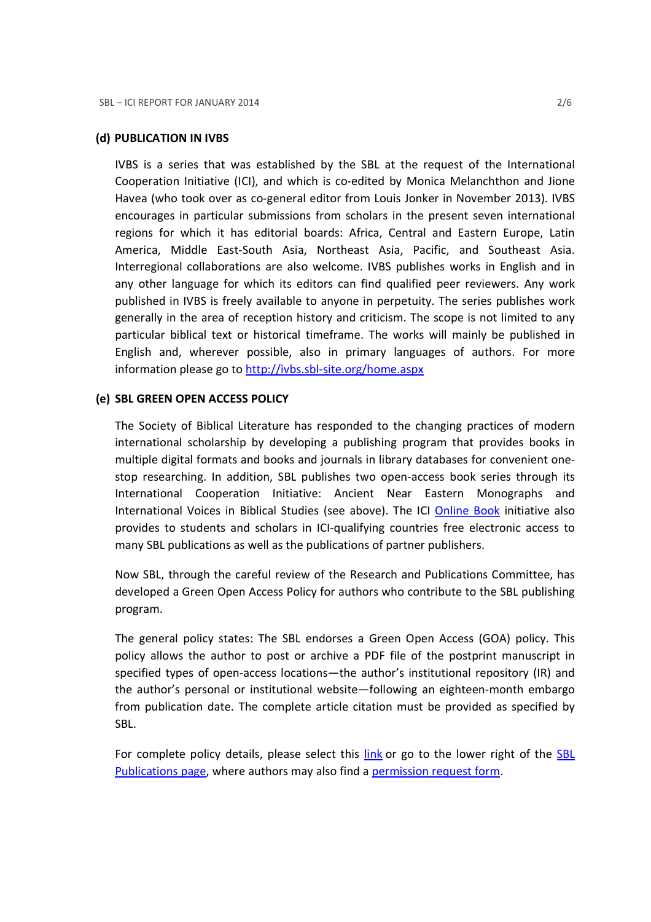#### (d) PUBLICATION IN IVBS

IVBS is a series that was established by the SBL at the request of the International Cooperation Initiative (ICI), and which is co-edited by Monica Melanchthon and Jione Havea (who took over as co-general editor from Louis Jonker in November 2013). IVBS encourages in particular submissions from scholars in the present seven international regions for which it has editorial boards: Africa, Central and Eastern Europe, Latin America, Middle East-South Asia, Northeast Asia, Pacific, and Southeast Asia. Interregional collaborations are also welcome. IVBS publishes works in English and in any other language for which its editors can find qualified peer reviewers. Any work published in IVBS is freely available to anyone in perpetuity. The series publishes work generally in the area of reception history and criticism. The scope is not limited to any particular biblical text or historical timeframe. The works will mainly be published in English and, wherever possible, also in primary languages of authors. For more information please go to http://ivbs.sbl-site.org/home.aspx

#### (e) SBL GREEN OPEN ACCESS POLICY

The Society of Biblical Literature has responded to the changing practices of modern international scholarship by developing a publishing program that provides books in multiple digital formats and books and journals in library databases for convenient onestop researching. In addition, SBL publishes two open-access book series through its International Cooperation Initiative: Ancient Near Eastern Monographs and International Voices in Biblical Studies (see above). The ICI Online Book initiative also provides to students and scholars in ICI-qualifying countries free electronic access to many SBL publications as well as the publications of partner publishers.

Now SBL, through the careful review of the Research and Publications Committee, has developed a Green Open Access Policy for authors who contribute to the SBL publishing program.

The general policy states: The SBL endorses a Green Open Access (GOA) policy. This policy allows the author to post or archive a PDF file of the postprint manuscript in specified types of open-access locations—the author's institutional repository (IR) and the author's personal or institutional website—following an eighteen-month embargo from publication date. The complete article citation must be provided as specified by SBL.

For complete policy details, please select this link or go to the lower right of the SBL Publications page, where authors may also find a permission request form.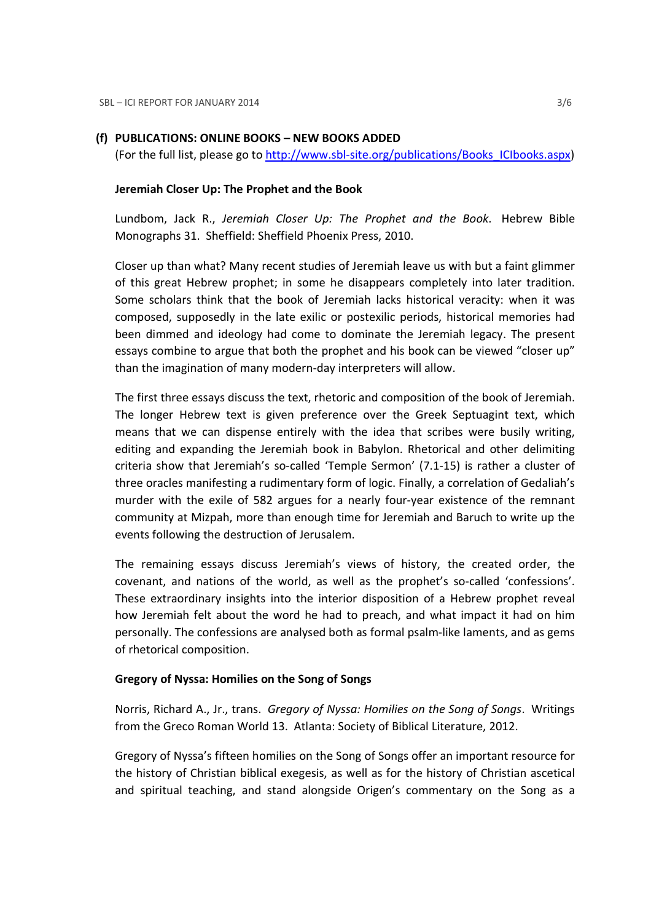### (f) PUBLICATIONS: ONLINE BOOKS – NEW BOOKS ADDED

(For the full list, please go to http://www.sbl-site.org/publications/Books\_ICIbooks.aspx)

#### Jeremiah Closer Up: The Prophet and the Book

Lundbom, Jack R., Jeremiah Closer Up: The Prophet and the Book. Hebrew Bible Monographs 31. Sheffield: Sheffield Phoenix Press, 2010.

Closer up than what? Many recent studies of Jeremiah leave us with but a faint glimmer of this great Hebrew prophet; in some he disappears completely into later tradition. Some scholars think that the book of Jeremiah lacks historical veracity: when it was composed, supposedly in the late exilic or postexilic periods, historical memories had been dimmed and ideology had come to dominate the Jeremiah legacy. The present essays combine to argue that both the prophet and his book can be viewed "closer up" than the imagination of many modern-day interpreters will allow.

The first three essays discuss the text, rhetoric and composition of the book of Jeremiah. The longer Hebrew text is given preference over the Greek Septuagint text, which means that we can dispense entirely with the idea that scribes were busily writing, editing and expanding the Jeremiah book in Babylon. Rhetorical and other delimiting criteria show that Jeremiah's so-called 'Temple Sermon' (7.1-15) is rather a cluster of three oracles manifesting a rudimentary form of logic. Finally, a correlation of Gedaliah's murder with the exile of 582 argues for a nearly four-year existence of the remnant community at Mizpah, more than enough time for Jeremiah and Baruch to write up the events following the destruction of Jerusalem.

The remaining essays discuss Jeremiah's views of history, the created order, the covenant, and nations of the world, as well as the prophet's so-called 'confessions'. These extraordinary insights into the interior disposition of a Hebrew prophet reveal how Jeremiah felt about the word he had to preach, and what impact it had on him personally. The confessions are analysed both as formal psalm-like laments, and as gems of rhetorical composition.

#### Gregory of Nyssa: Homilies on the Song of Songs

Norris, Richard A., Jr., trans. Gregory of Nyssa: Homilies on the Song of Songs. Writings from the Greco Roman World 13. Atlanta: Society of Biblical Literature, 2012.

Gregory of Nyssa's fifteen homilies on the Song of Songs offer an important resource for the history of Christian biblical exegesis, as well as for the history of Christian ascetical and spiritual teaching, and stand alongside Origen's commentary on the Song as a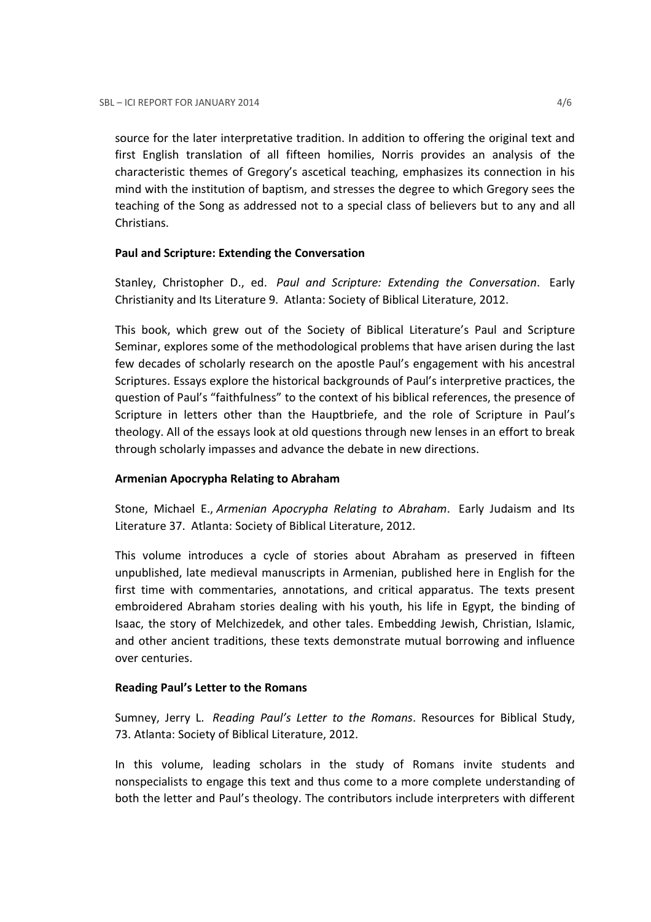source for the later interpretative tradition. In addition to offering the original text and first English translation of all fifteen homilies, Norris provides an analysis of the characteristic themes of Gregory's ascetical teaching, emphasizes its connection in his mind with the institution of baptism, and stresses the degree to which Gregory sees the teaching of the Song as addressed not to a special class of believers but to any and all Christians.

## Paul and Scripture: Extending the Conversation

Stanley, Christopher D., ed. Paul and Scripture: Extending the Conversation. Early Christianity and Its Literature 9. Atlanta: Society of Biblical Literature, 2012.

This book, which grew out of the Society of Biblical Literature's Paul and Scripture Seminar, explores some of the methodological problems that have arisen during the last few decades of scholarly research on the apostle Paul's engagement with his ancestral Scriptures. Essays explore the historical backgrounds of Paul's interpretive practices, the question of Paul's "faithfulness" to the context of his biblical references, the presence of Scripture in letters other than the Hauptbriefe, and the role of Scripture in Paul's theology. All of the essays look at old questions through new lenses in an effort to break through scholarly impasses and advance the debate in new directions.

# Armenian Apocrypha Relating to Abraham

Stone, Michael E., Armenian Apocrypha Relating to Abraham. Early Judaism and Its Literature 37. Atlanta: Society of Biblical Literature, 2012.

This volume introduces a cycle of stories about Abraham as preserved in fifteen unpublished, late medieval manuscripts in Armenian, published here in English for the first time with commentaries, annotations, and critical apparatus. The texts present embroidered Abraham stories dealing with his youth, his life in Egypt, the binding of Isaac, the story of Melchizedek, and other tales. Embedding Jewish, Christian, Islamic, and other ancient traditions, these texts demonstrate mutual borrowing and influence over centuries.

### Reading Paul's Letter to the Romans

Sumney, Jerry L. Reading Paul's Letter to the Romans. Resources for Biblical Study, 73. Atlanta: Society of Biblical Literature, 2012.

In this volume, leading scholars in the study of Romans invite students and nonspecialists to engage this text and thus come to a more complete understanding of both the letter and Paul's theology. The contributors include interpreters with different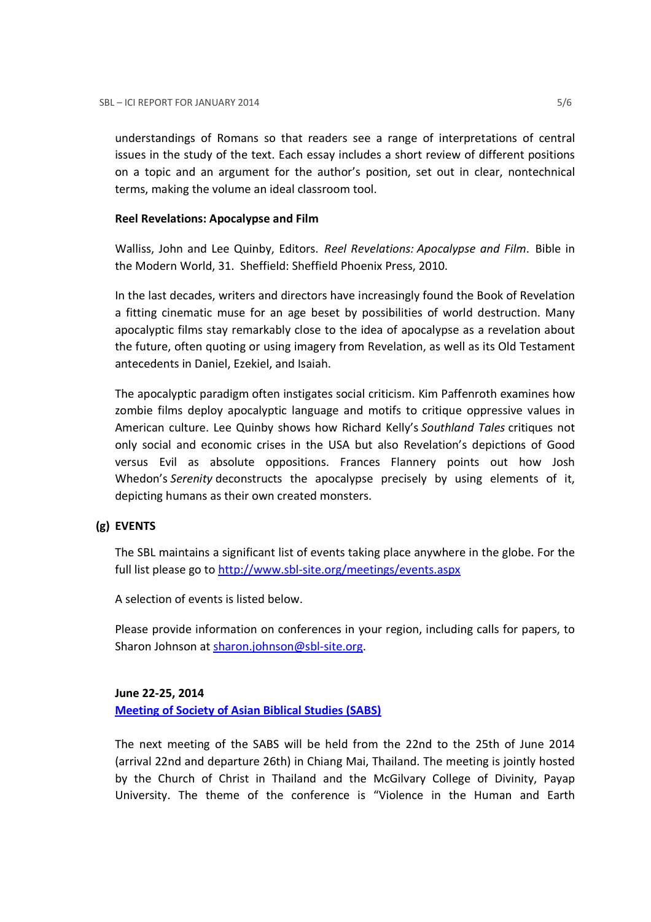understandings of Romans so that readers see a range of interpretations of central issues in the study of the text. Each essay includes a short review of different positions on a topic and an argument for the author's position, set out in clear, nontechnical terms, making the volume an ideal classroom tool.

## Reel Revelations: Apocalypse and Film

Walliss, John and Lee Quinby, Editors. Reel Revelations: Apocalypse and Film. Bible in the Modern World, 31. Sheffield: Sheffield Phoenix Press, 2010.

In the last decades, writers and directors have increasingly found the Book of Revelation a fitting cinematic muse for an age beset by possibilities of world destruction. Many apocalyptic films stay remarkably close to the idea of apocalypse as a revelation about the future, often quoting or using imagery from Revelation, as well as its Old Testament antecedents in Daniel, Ezekiel, and Isaiah.

The apocalyptic paradigm often instigates social criticism. Kim Paffenroth examines how zombie films deploy apocalyptic language and motifs to critique oppressive values in American culture. Lee Quinby shows how Richard Kelly's Southland Tales critiques not only social and economic crises in the USA but also Revelation's depictions of Good versus Evil as absolute oppositions. Frances Flannery points out how Josh Whedon's Serenity deconstructs the apocalypse precisely by using elements of it, depicting humans as their own created monsters.

# (g) EVENTS

The SBL maintains a significant list of events taking place anywhere in the globe. For the full list please go to http://www.sbl-site.org/meetings/events.aspx

A selection of events is listed below.

Please provide information on conferences in your region, including calls for papers, to Sharon Johnson at sharon.johnson@sbl-site.org.

# June 22-25, 2014 Meeting of Society of Asian Biblical Studies (SABS)

The next meeting of the SABS will be held from the 22nd to the 25th of June 2014 (arrival 22nd and departure 26th) in Chiang Mai, Thailand. The meeting is jointly hosted by the Church of Christ in Thailand and the McGilvary College of Divinity, Payap University. The theme of the conference is "Violence in the Human and Earth